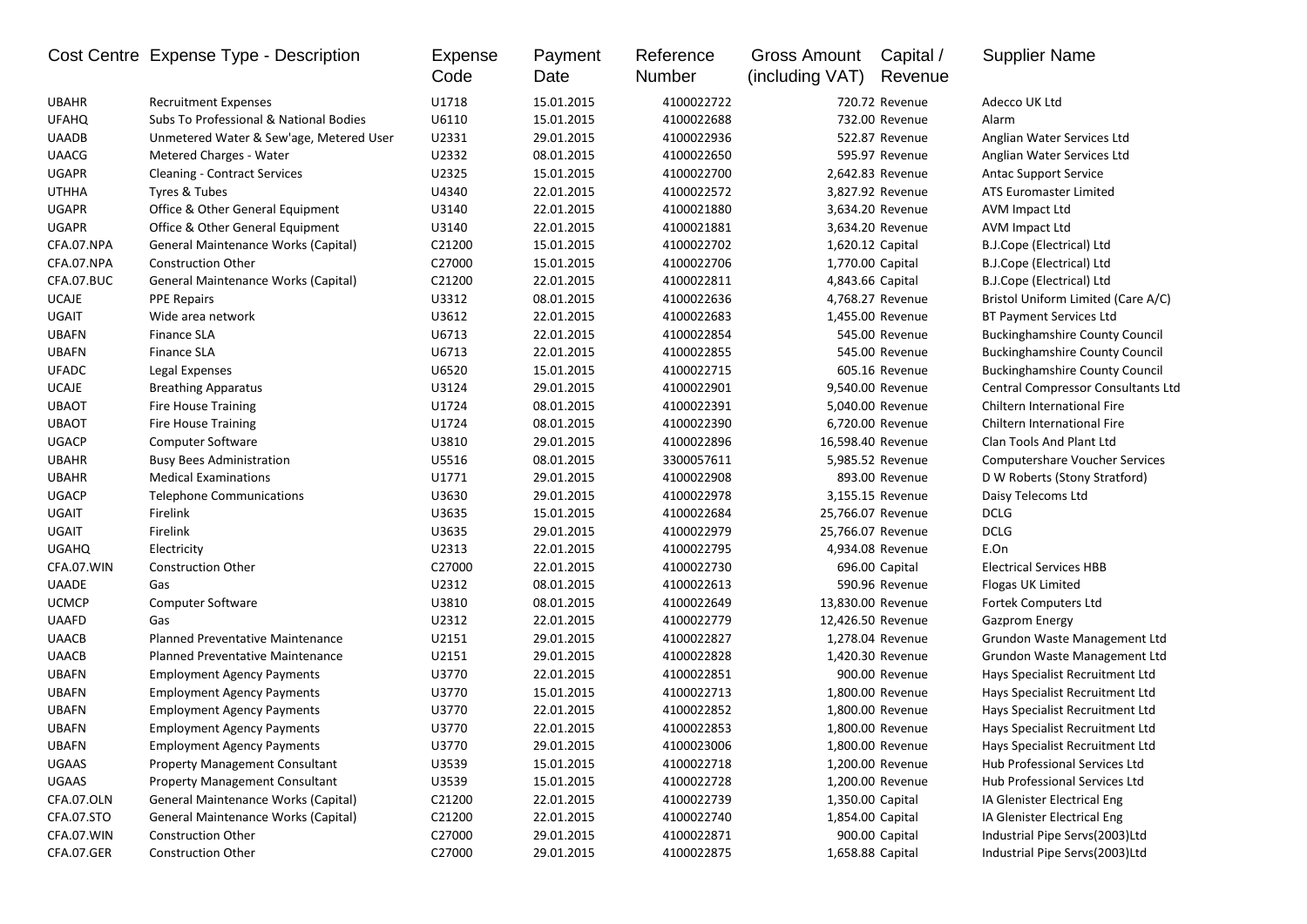|              | Cost Centre Expense Type - Description  | Expense<br>Code | Payment<br>Date | Reference<br>Number | Gross Amount<br>(including VAT) | Capital /<br>Revenue | <b>Supplier Name</b>                  |
|--------------|-----------------------------------------|-----------------|-----------------|---------------------|---------------------------------|----------------------|---------------------------------------|
| <b>UBAHR</b> | <b>Recruitment Expenses</b>             | U1718           | 15.01.2015      | 4100022722          |                                 | 720.72 Revenue       | Adecco UK Ltd                         |
| <b>UFAHQ</b> | Subs To Professional & National Bodies  | U6110           | 15.01.2015      | 4100022688          |                                 | 732.00 Revenue       | Alarm                                 |
| <b>UAADB</b> | Unmetered Water & Sew'age, Metered User | U2331           | 29.01.2015      | 4100022936          |                                 | 522.87 Revenue       | Anglian Water Services Ltd            |
| <b>UAACG</b> | Metered Charges - Water                 | U2332           | 08.01.2015      | 4100022650          |                                 | 595.97 Revenue       | Anglian Water Services Ltd            |
| <b>UGAPR</b> | <b>Cleaning - Contract Services</b>     | U2325           | 15.01.2015      | 4100022700          |                                 | 2,642.83 Revenue     | <b>Antac Support Service</b>          |
| <b>UTHHA</b> | Tyres & Tubes                           | U4340           | 22.01.2015      | 4100022572          |                                 | 3,827.92 Revenue     | ATS Euromaster Limited                |
| <b>UGAPR</b> | Office & Other General Equipment        | U3140           | 22.01.2015      | 4100021880          |                                 | 3,634.20 Revenue     | AVM Impact Ltd                        |
| <b>UGAPR</b> | Office & Other General Equipment        | U3140           | 22.01.2015      | 4100021881          |                                 | 3,634.20 Revenue     | AVM Impact Ltd                        |
| CFA.07.NPA   | General Maintenance Works (Capital)     | C21200          | 15.01.2015      | 4100022702          |                                 | 1,620.12 Capital     | B.J.Cope (Electrical) Ltd             |
| CFA.07.NPA   | <b>Construction Other</b>               | C27000          | 15.01.2015      | 4100022706          |                                 | 1,770.00 Capital     | B.J.Cope (Electrical) Ltd             |
| CFA.07.BUC   | General Maintenance Works (Capital)     | C21200          | 22.01.2015      | 4100022811          |                                 | 4,843.66 Capital     | B.J.Cope (Electrical) Ltd             |
| <b>UCAJE</b> | <b>PPE Repairs</b>                      | U3312           | 08.01.2015      | 4100022636          |                                 | 4,768.27 Revenue     | Bristol Uniform Limited (Care A/C)    |
| <b>UGAIT</b> | Wide area network                       | U3612           | 22.01.2015      | 4100022683          |                                 | 1,455.00 Revenue     | <b>BT Payment Services Ltd</b>        |
| <b>UBAFN</b> | <b>Finance SLA</b>                      | U6713           | 22.01.2015      | 4100022854          |                                 | 545.00 Revenue       | <b>Buckinghamshire County Council</b> |
| <b>UBAFN</b> | <b>Finance SLA</b>                      | U6713           | 22.01.2015      | 4100022855          |                                 | 545.00 Revenue       | <b>Buckinghamshire County Council</b> |
| <b>UFADC</b> | Legal Expenses                          | U6520           | 15.01.2015      | 4100022715          |                                 | 605.16 Revenue       | <b>Buckinghamshire County Council</b> |
| <b>UCAJE</b> | <b>Breathing Apparatus</b>              | U3124           | 29.01.2015      | 4100022901          |                                 | 9,540.00 Revenue     | Central Compressor Consultants Ltd    |
| <b>UBAOT</b> | <b>Fire House Training</b>              | U1724           | 08.01.2015      | 4100022391          |                                 | 5,040.00 Revenue     | Chiltern International Fire           |
| <b>UBAOT</b> | <b>Fire House Training</b>              | U1724           | 08.01.2015      | 4100022390          |                                 | 6,720.00 Revenue     | Chiltern International Fire           |
| <b>UGACP</b> | Computer Software                       | U3810           | 29.01.2015      | 4100022896          |                                 | 16,598.40 Revenue    | Clan Tools And Plant Ltd              |
| <b>UBAHR</b> | <b>Busy Bees Administration</b>         | U5516           | 08.01.2015      | 3300057611          |                                 | 5,985.52 Revenue     | <b>Computershare Voucher Services</b> |
| <b>UBAHR</b> | <b>Medical Examinations</b>             | U1771           | 29.01.2015      | 4100022908          |                                 | 893.00 Revenue       | D W Roberts (Stony Stratford)         |
| <b>UGACP</b> | <b>Telephone Communications</b>         | U3630           | 29.01.2015      | 4100022978          |                                 | 3,155.15 Revenue     | Daisy Telecoms Ltd                    |
| UGAIT        | Firelink                                | U3635           | 15.01.2015      | 4100022684          |                                 | 25,766.07 Revenue    | DCLG                                  |
| <b>UGAIT</b> | Firelink                                | U3635           | 29.01.2015      | 4100022979          |                                 | 25,766.07 Revenue    | <b>DCLG</b>                           |
| <b>UGAHQ</b> | Electricity                             | U2313           | 22.01.2015      | 4100022795          |                                 | 4,934.08 Revenue     | E.On                                  |
| CFA.07.WIN   | <b>Construction Other</b>               | C27000          | 22.01.2015      | 4100022730          |                                 | 696.00 Capital       | <b>Electrical Services HBB</b>        |
| <b>UAADE</b> | Gas                                     | U2312           | 08.01.2015      | 4100022613          |                                 | 590.96 Revenue       | Flogas UK Limited                     |
| <b>UCMCP</b> | <b>Computer Software</b>                | U3810           | 08.01.2015      | 4100022649          |                                 | 13,830.00 Revenue    | Fortek Computers Ltd                  |
| <b>UAAFD</b> | Gas                                     | U2312           | 22.01.2015      | 4100022779          |                                 | 12,426.50 Revenue    | <b>Gazprom Energy</b>                 |
| <b>UAACB</b> | <b>Planned Preventative Maintenance</b> | U2151           | 29.01.2015      | 4100022827          |                                 | 1,278.04 Revenue     | Grundon Waste Management Ltd          |
| <b>UAACB</b> | <b>Planned Preventative Maintenance</b> | U2151           | 29.01.2015      | 4100022828          |                                 | 1,420.30 Revenue     | Grundon Waste Management Ltd          |
| <b>UBAFN</b> | <b>Employment Agency Payments</b>       | U3770           | 22.01.2015      | 4100022851          |                                 | 900.00 Revenue       | Hays Specialist Recruitment Ltd       |
| <b>UBAFN</b> | <b>Employment Agency Payments</b>       | U3770           | 15.01.2015      | 4100022713          |                                 | 1,800.00 Revenue     | Hays Specialist Recruitment Ltd       |
| <b>UBAFN</b> | <b>Employment Agency Payments</b>       | U3770           | 22.01.2015      | 4100022852          |                                 | 1,800.00 Revenue     | Hays Specialist Recruitment Ltd       |
| <b>UBAFN</b> | <b>Employment Agency Payments</b>       | U3770           | 22.01.2015      | 4100022853          |                                 | 1,800.00 Revenue     | Hays Specialist Recruitment Ltd       |
| <b>UBAFN</b> | <b>Employment Agency Payments</b>       | U3770           | 29.01.2015      | 4100023006          |                                 | 1,800.00 Revenue     | Hays Specialist Recruitment Ltd       |
| UGAAS        | <b>Property Management Consultant</b>   | U3539           | 15.01.2015      | 4100022718          |                                 | 1,200.00 Revenue     | Hub Professional Services Ltd         |
| UGAAS        | <b>Property Management Consultant</b>   | U3539           | 15.01.2015      | 4100022728          |                                 | 1,200.00 Revenue     | Hub Professional Services Ltd         |
| CFA.07.OLN   | General Maintenance Works (Capital)     | C21200          | 22.01.2015      | 4100022739          |                                 | 1,350.00 Capital     | IA Glenister Electrical Eng           |
| CFA.07.STO   | General Maintenance Works (Capital)     | C21200          | 22.01.2015      | 4100022740          |                                 | 1,854.00 Capital     | IA Glenister Electrical Eng           |
| CFA.07.WIN   | <b>Construction Other</b>               | C27000          | 29.01.2015      | 4100022871          |                                 | 900.00 Capital       | Industrial Pipe Servs(2003)Ltd        |
| CFA.07.GER   | Construction Other                      | C27000          | 29.01.2015      | 4100022875          |                                 | 1,658.88 Capital     | Industrial Pipe Servs(2003)Ltd        |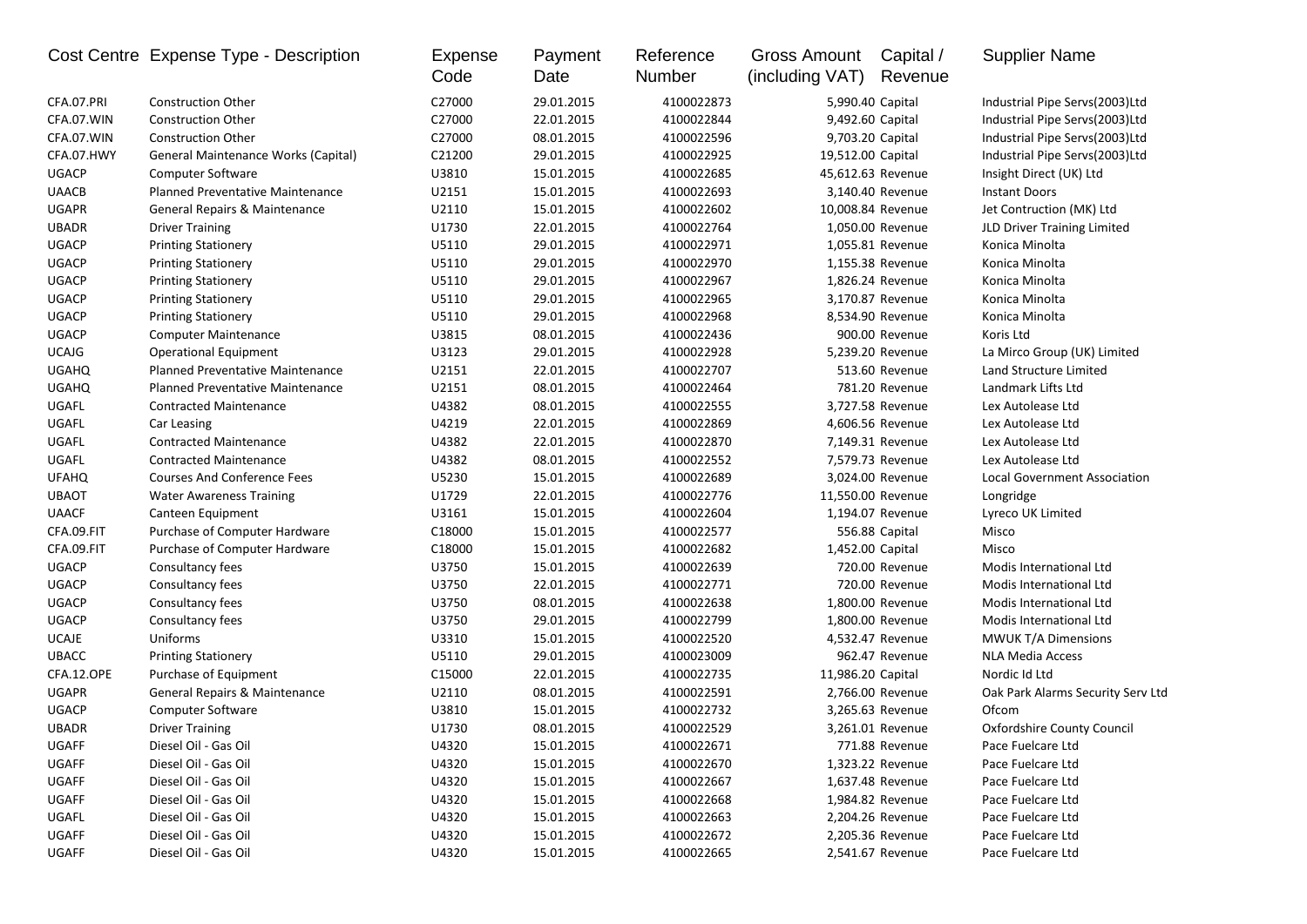|              | Cost Centre Expense Type - Description  | Expense<br>Code | Payment<br>Date | Reference<br>Number | <b>Gross Amount</b><br>(including VAT) | Capital /<br>Revenue | <b>Supplier Name</b>              |
|--------------|-----------------------------------------|-----------------|-----------------|---------------------|----------------------------------------|----------------------|-----------------------------------|
| CFA.07.PRI   | <b>Construction Other</b>               | C27000          | 29.01.2015      | 4100022873          | 5,990.40 Capital                       |                      | Industrial Pipe Servs(2003)Ltd    |
| CFA.07.WIN   | <b>Construction Other</b>               | C27000          | 22.01.2015      | 4100022844          | 9,492.60 Capital                       |                      | Industrial Pipe Servs(2003)Ltd    |
| CFA.07.WIN   | <b>Construction Other</b>               | C27000          | 08.01.2015      | 4100022596          | 9,703.20 Capital                       |                      | Industrial Pipe Servs(2003)Ltd    |
| CFA.07.HWY   | General Maintenance Works (Capital)     | C21200          | 29.01.2015      | 4100022925          | 19,512.00 Capital                      |                      | Industrial Pipe Servs(2003)Ltd    |
| <b>UGACP</b> | Computer Software                       | U3810           | 15.01.2015      | 4100022685          | 45,612.63 Revenue                      |                      | Insight Direct (UK) Ltd           |
| <b>UAACB</b> | <b>Planned Preventative Maintenance</b> | U2151           | 15.01.2015      | 4100022693          |                                        | 3,140.40 Revenue     | <b>Instant Doors</b>              |
| <b>UGAPR</b> | General Repairs & Maintenance           | U2110           | 15.01.2015      | 4100022602          | 10,008.84 Revenue                      |                      | Jet Contruction (MK) Ltd          |
| <b>UBADR</b> | <b>Driver Training</b>                  | U1730           | 22.01.2015      | 4100022764          |                                        | 1,050.00 Revenue     | JLD Driver Training Limited       |
| <b>UGACP</b> | <b>Printing Stationery</b>              | U5110           | 29.01.2015      | 4100022971          |                                        | 1,055.81 Revenue     | Konica Minolta                    |
| <b>UGACP</b> | <b>Printing Stationery</b>              | U5110           | 29.01.2015      | 4100022970          |                                        | 1,155.38 Revenue     | Konica Minolta                    |
| <b>UGACP</b> | <b>Printing Stationery</b>              | U5110           | 29.01.2015      | 4100022967          |                                        | 1,826.24 Revenue     | Konica Minolta                    |
| <b>UGACP</b> | <b>Printing Stationery</b>              | U5110           | 29.01.2015      | 4100022965          |                                        | 3,170.87 Revenue     | Konica Minolta                    |
| <b>UGACP</b> | <b>Printing Stationery</b>              | U5110           | 29.01.2015      | 4100022968          |                                        | 8,534.90 Revenue     | Konica Minolta                    |
| <b>UGACP</b> | <b>Computer Maintenance</b>             | U3815           | 08.01.2015      | 4100022436          |                                        | 900.00 Revenue       | Koris Ltd                         |
| <b>UCAJG</b> | <b>Operational Equipment</b>            | U3123           | 29.01.2015      | 4100022928          |                                        | 5.239.20 Revenue     | La Mirco Group (UK) Limited       |
| <b>UGAHQ</b> | <b>Planned Preventative Maintenance</b> | U2151           | 22.01.2015      | 4100022707          |                                        | 513.60 Revenue       | Land Structure Limited            |
| <b>UGAHQ</b> | Planned Preventative Maintenance        | U2151           | 08.01.2015      | 4100022464          |                                        | 781.20 Revenue       | Landmark Lifts Ltd                |
| UGAFL        | <b>Contracted Maintenance</b>           | U4382           | 08.01.2015      | 4100022555          |                                        | 3,727.58 Revenue     | Lex Autolease Ltd                 |
| UGAFL        | Car Leasing                             | U4219           | 22.01.2015      | 4100022869          |                                        | 4,606.56 Revenue     | Lex Autolease Ltd                 |
| UGAFL        | <b>Contracted Maintenance</b>           | U4382           | 22.01.2015      | 4100022870          |                                        | 7,149.31 Revenue     | Lex Autolease Ltd                 |
| UGAFL        | <b>Contracted Maintenance</b>           | U4382           | 08.01.2015      | 4100022552          |                                        | 7,579.73 Revenue     | Lex Autolease Ltd                 |
| <b>UFAHQ</b> | <b>Courses And Conference Fees</b>      | U5230           | 15.01.2015      | 4100022689          |                                        | 3.024.00 Revenue     | Local Government Association      |
| <b>UBAOT</b> | <b>Water Awareness Training</b>         | U1729           | 22.01.2015      | 4100022776          | 11,550.00 Revenue                      |                      | Longridge                         |
| <b>UAACF</b> | Canteen Equipment                       | U3161           | 15.01.2015      | 4100022604          |                                        | 1,194.07 Revenue     | Lyreco UK Limited                 |
| CFA.09.FIT   | Purchase of Computer Hardware           | C18000          | 15.01.2015      | 4100022577          |                                        | 556.88 Capital       | Misco                             |
| CFA.09.FIT   | Purchase of Computer Hardware           | C18000          | 15.01.2015      | 4100022682          | 1,452.00 Capital                       |                      | Misco                             |
| <b>UGACP</b> | Consultancy fees                        | U3750           | 15.01.2015      | 4100022639          |                                        | 720.00 Revenue       | Modis International Ltd           |
| <b>UGACP</b> | Consultancy fees                        | U3750           | 22.01.2015      | 4100022771          |                                        | 720.00 Revenue       | Modis International Ltd           |
| <b>UGACP</b> | Consultancy fees                        | U3750           | 08.01.2015      | 4100022638          |                                        | 1,800.00 Revenue     | Modis International Ltd           |
| <b>UGACP</b> | Consultancy fees                        | U3750           | 29.01.2015      | 4100022799          |                                        | 1,800.00 Revenue     | Modis International Ltd           |
| <b>UCAJE</b> | Uniforms                                | U3310           | 15.01.2015      | 4100022520          |                                        | 4,532.47 Revenue     | MWUK T/A Dimensions               |
| <b>UBACC</b> | <b>Printing Stationery</b>              | U5110           | 29.01.2015      | 4100023009          |                                        | 962.47 Revenue       | <b>NLA Media Access</b>           |
| CFA.12.OPE   | Purchase of Equipment                   | C15000          | 22.01.2015      | 4100022735          | 11,986.20 Capital                      |                      | Nordic Id Ltd                     |
| UGAPR        | General Repairs & Maintenance           | U2110           | 08.01.2015      | 4100022591          |                                        | 2,766.00 Revenue     | Oak Park Alarms Security Serv Ltd |
| <b>UGACP</b> | <b>Computer Software</b>                | U3810           | 15.01.2015      | 4100022732          |                                        | 3,265.63 Revenue     | Ofcom                             |
| <b>UBADR</b> | <b>Driver Training</b>                  | U1730           | 08.01.2015      | 4100022529          |                                        | 3,261.01 Revenue     | Oxfordshire County Council        |
| UGAFF        | Diesel Oil - Gas Oil                    | U4320           | 15.01.2015      | 4100022671          |                                        | 771.88 Revenue       | Pace Fuelcare Ltd                 |
| UGAFF        | Diesel Oil - Gas Oil                    | U4320           | 15.01.2015      | 4100022670          |                                        | 1,323.22 Revenue     | Pace Fuelcare Ltd                 |
| UGAFF        | Diesel Oil - Gas Oil                    | U4320           | 15.01.2015      | 4100022667          |                                        | 1,637.48 Revenue     | Pace Fuelcare Ltd                 |
| UGAFF        | Diesel Oil - Gas Oil                    | U4320           | 15.01.2015      | 4100022668          |                                        | 1,984.82 Revenue     | Pace Fuelcare Ltd                 |
| UGAFL        | Diesel Oil - Gas Oil                    | U4320           | 15.01.2015      | 4100022663          |                                        | 2,204.26 Revenue     | Pace Fuelcare Ltd                 |
| UGAFF        | Diesel Oil - Gas Oil                    | U4320           | 15.01.2015      | 4100022672          |                                        | 2,205.36 Revenue     | Pace Fuelcare Ltd                 |
| UGAFF        | Diesel Oil - Gas Oil                    | U4320           | 15.01.2015      | 4100022665          |                                        | 2,541.67 Revenue     | Pace Fuelcare Ltd                 |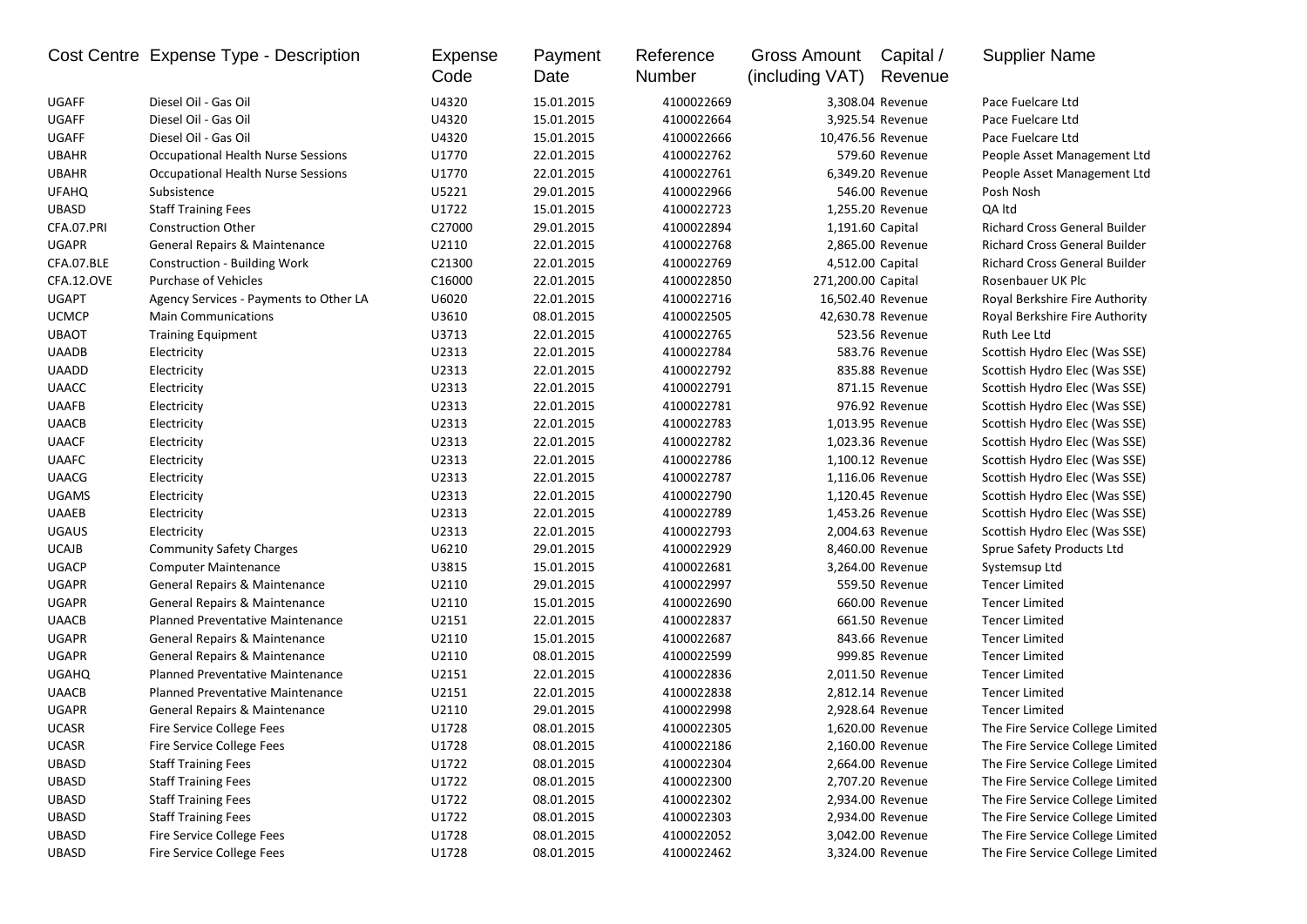|              | Cost Centre Expense Type - Description    | Expense<br>Code | Payment<br>Date | Reference<br>Number | <b>Gross Amount</b><br>(including VAT) | Capital /<br>Revenue | <b>Supplier Name</b>                 |
|--------------|-------------------------------------------|-----------------|-----------------|---------------------|----------------------------------------|----------------------|--------------------------------------|
| UGAFF        | Diesel Oil - Gas Oil                      | U4320           | 15.01.2015      | 4100022669          |                                        | 3,308.04 Revenue     | Pace Fuelcare Ltd                    |
| <b>UGAFF</b> | Diesel Oil - Gas Oil                      | U4320           | 15.01.2015      | 4100022664          |                                        | 3,925.54 Revenue     | Pace Fuelcare Ltd                    |
| <b>UGAFF</b> | Diesel Oil - Gas Oil                      | U4320           | 15.01.2015      | 4100022666          | 10,476.56 Revenue                      |                      | Pace Fuelcare Ltd                    |
| <b>UBAHR</b> | <b>Occupational Health Nurse Sessions</b> | U1770           | 22.01.2015      | 4100022762          |                                        | 579.60 Revenue       | People Asset Management Ltd          |
| <b>UBAHR</b> | <b>Occupational Health Nurse Sessions</b> | U1770           | 22.01.2015      | 4100022761          |                                        | 6,349.20 Revenue     | People Asset Management Ltd          |
| <b>UFAHQ</b> | Subsistence                               | U5221           | 29.01.2015      | 4100022966          |                                        | 546.00 Revenue       | Posh Nosh                            |
| <b>UBASD</b> | <b>Staff Training Fees</b>                | U1722           | 15.01.2015      | 4100022723          |                                        | 1,255.20 Revenue     | QA Itd                               |
| CFA.07.PRI   | <b>Construction Other</b>                 | C27000          | 29.01.2015      | 4100022894          | 1,191.60 Capital                       |                      | Richard Cross General Builder        |
| <b>UGAPR</b> | General Repairs & Maintenance             | U2110           | 22.01.2015      | 4100022768          |                                        | 2,865.00 Revenue     | <b>Richard Cross General Builder</b> |
| CFA.07.BLE   | <b>Construction - Building Work</b>       | C21300          | 22.01.2015      | 4100022769          | 4,512.00 Capital                       |                      | Richard Cross General Builder        |
| CFA.12.OVE   | Purchase of Vehicles                      | C16000          | 22.01.2015      | 4100022850          | 271,200.00 Capital                     |                      | Rosenbauer UK Plc                    |
| <b>UGAPT</b> | Agency Services - Payments to Other LA    | U6020           | 22.01.2015      | 4100022716          | 16,502.40 Revenue                      |                      | Royal Berkshire Fire Authority       |
| <b>UCMCP</b> | <b>Main Communications</b>                | U3610           | 08.01.2015      | 4100022505          | 42,630.78 Revenue                      |                      | Royal Berkshire Fire Authority       |
| <b>UBAOT</b> | <b>Training Equipment</b>                 | U3713           | 22.01.2015      | 4100022765          |                                        | 523.56 Revenue       | Ruth Lee Ltd                         |
| <b>UAADB</b> | Electricity                               | U2313           | 22.01.2015      | 4100022784          |                                        | 583.76 Revenue       | Scottish Hydro Elec (Was SSE)        |
| <b>UAADD</b> | Electricity                               | U2313           | 22.01.2015      | 4100022792          |                                        | 835.88 Revenue       | Scottish Hydro Elec (Was SSE)        |
| <b>UAACC</b> | Electricity                               | U2313           | 22.01.2015      | 4100022791          |                                        | 871.15 Revenue       | Scottish Hydro Elec (Was SSE)        |
| <b>UAAFB</b> | Electricity                               | U2313           | 22.01.2015      | 4100022781          |                                        | 976.92 Revenue       | Scottish Hydro Elec (Was SSE)        |
| <b>UAACB</b> | Electricity                               | U2313           | 22.01.2015      | 4100022783          |                                        | 1,013.95 Revenue     | Scottish Hydro Elec (Was SSE)        |
| <b>UAACF</b> | Electricity                               | U2313           | 22.01.2015      | 4100022782          |                                        | 1,023.36 Revenue     | Scottish Hydro Elec (Was SSE)        |
| <b>UAAFC</b> | Electricity                               | U2313           | 22.01.2015      | 4100022786          |                                        | 1,100.12 Revenue     | Scottish Hydro Elec (Was SSE)        |
| <b>UAACG</b> | Electricity                               | U2313           | 22.01.2015      | 4100022787          |                                        | 1,116.06 Revenue     | Scottish Hydro Elec (Was SSE)        |
| <b>UGAMS</b> | Electricity                               | U2313           | 22.01.2015      | 4100022790          |                                        | 1,120.45 Revenue     | Scottish Hydro Elec (Was SSE)        |
| <b>UAAEB</b> | Electricity                               | U2313           | 22.01.2015      | 4100022789          |                                        | 1,453.26 Revenue     | Scottish Hydro Elec (Was SSE)        |
| <b>UGAUS</b> | Electricity                               | U2313           | 22.01.2015      | 4100022793          |                                        | 2,004.63 Revenue     | Scottish Hydro Elec (Was SSE)        |
| <b>UCAJB</b> | <b>Community Safety Charges</b>           | U6210           | 29.01.2015      | 4100022929          |                                        | 8,460.00 Revenue     | Sprue Safety Products Ltd            |
| <b>UGACP</b> | <b>Computer Maintenance</b>               | U3815           | 15.01.2015      | 4100022681          |                                        | 3,264.00 Revenue     | Systemsup Ltd                        |
| <b>UGAPR</b> | General Repairs & Maintenance             | U2110           | 29.01.2015      | 4100022997          |                                        | 559.50 Revenue       | <b>Tencer Limited</b>                |
| <b>UGAPR</b> | General Repairs & Maintenance             | U2110           | 15.01.2015      | 4100022690          |                                        | 660.00 Revenue       | <b>Tencer Limited</b>                |
| <b>UAACB</b> | Planned Preventative Maintenance          | U2151           | 22.01.2015      | 4100022837          |                                        | 661.50 Revenue       | <b>Tencer Limited</b>                |
| <b>UGAPR</b> | General Repairs & Maintenance             | U2110           | 15.01.2015      | 4100022687          |                                        | 843.66 Revenue       | <b>Tencer Limited</b>                |
| <b>UGAPR</b> | General Repairs & Maintenance             | U2110           | 08.01.2015      | 4100022599          |                                        | 999.85 Revenue       | <b>Tencer Limited</b>                |
| <b>UGAHQ</b> | <b>Planned Preventative Maintenance</b>   | U2151           | 22.01.2015      | 4100022836          |                                        | 2,011.50 Revenue     | <b>Tencer Limited</b>                |
| <b>UAACB</b> | <b>Planned Preventative Maintenance</b>   | U2151           | 22.01.2015      | 4100022838          |                                        | 2,812.14 Revenue     | <b>Tencer Limited</b>                |
| <b>UGAPR</b> | General Repairs & Maintenance             | U2110           | 29.01.2015      | 4100022998          |                                        | 2,928.64 Revenue     | <b>Tencer Limited</b>                |
| <b>UCASR</b> | Fire Service College Fees                 | U1728           | 08.01.2015      | 4100022305          |                                        | 1,620.00 Revenue     | The Fire Service College Limited     |
| <b>UCASR</b> | Fire Service College Fees                 | U1728           | 08.01.2015      | 4100022186          |                                        | 2,160.00 Revenue     | The Fire Service College Limited     |
| UBASD        | <b>Staff Training Fees</b>                | U1722           | 08.01.2015      | 4100022304          |                                        | 2,664.00 Revenue     | The Fire Service College Limited     |
| UBASD        | <b>Staff Training Fees</b>                | U1722           | 08.01.2015      | 4100022300          |                                        | 2,707.20 Revenue     | The Fire Service College Limited     |
| UBASD        | <b>Staff Training Fees</b>                | U1722           | 08.01.2015      | 4100022302          |                                        | 2,934.00 Revenue     | The Fire Service College Limited     |
| UBASD        | <b>Staff Training Fees</b>                | U1722           | 08.01.2015      | 4100022303          |                                        | 2,934.00 Revenue     | The Fire Service College Limited     |
| UBASD        | Fire Service College Fees                 | U1728           | 08.01.2015      | 4100022052          |                                        | 3,042.00 Revenue     | The Fire Service College Limited     |
| UBASD        | Fire Service College Fees                 | U1728           | 08.01.2015      | 4100022462          |                                        | 3,324.00 Revenue     | The Fire Service College Limited     |